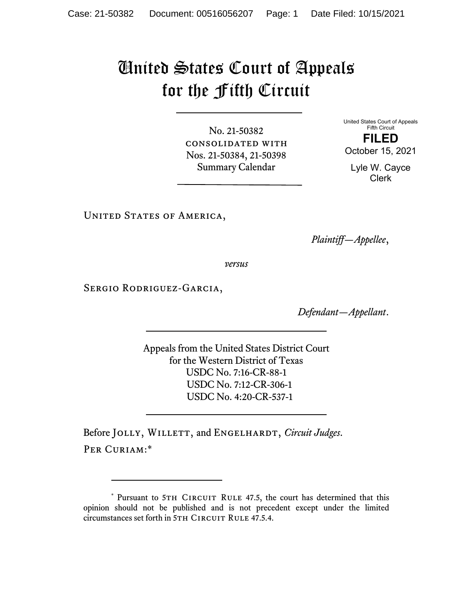## United States Court of Appeals for the Fifth Circuit

No. 21-50382 consolidated with Nos. 21-50384, 21-50398 Summary Calendar

United States Court of Appeals Fifth Circuit **FILED**  October 15, 2021

Lyle W. Cayce Clerk

UNITED STATES OF AMERICA,

*Plaintiff—Appellee*,

*versus*

Sergio Rodriguez-Garcia,

*Defendant—Appellant*.

Appeals from the United States District Court for the Western District of Texas USDC No. 7:16-CR-88-1 USDC No. 7:12-CR-306-1 USDC No. 4:20-CR-537-1

Before JOLLY, WILLETT, and ENGELHARDT, *Circuit Judges*. PER CURIAM:\*

<sup>\*</sup> Pursuant to 5TH CIRCUIT RULE 47.5, the court has determined that this opinion should not be published and is not precedent except under the limited circumstances set forth in 5TH CIRCUIT RULE 47.5.4.